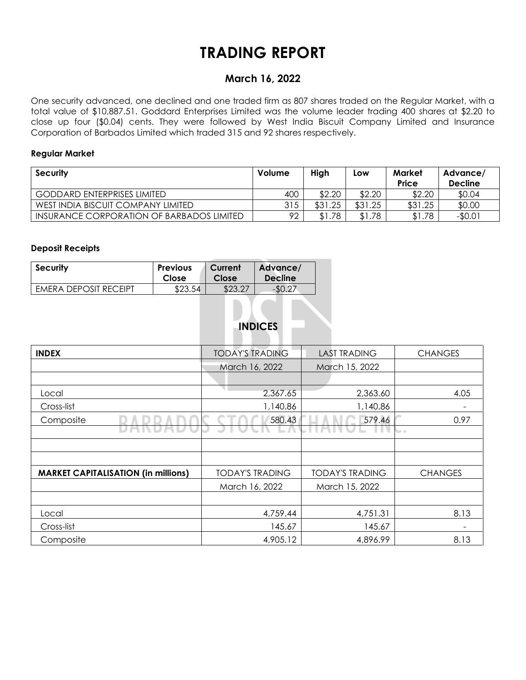# **TRADING REPORT**

# **March 16, 2022**

One security advanced, one declined and one traded firm as 807 shares traded on the Regular Market, with a total value of \$10,887.51. Goddard Enterprises Limited was the volume leader trading 400 shares at \$2.20 to close up four (\$0.04) cents. They were followed by West India Biscuit Company Limited and Insurance Corporation of Barbados Limited which traded 315 and 92 shares respectively.

## **Regular Market**

| <b>Security</b>                           | Volume | High                             | Low     | Market<br><b>Price</b> | Advance/<br><b>Decline</b> |
|-------------------------------------------|--------|----------------------------------|---------|------------------------|----------------------------|
| <b>GODDARD ENTERPRISES LIMITED</b>        | 400    | \$2.20                           | \$2.20  | \$2.20                 | \$0.04                     |
| WEST INDIA BISCUIT COMPANY LIMITED        | 315    | \$31.25                          | \$31.25 | \$31.25                | \$0.00                     |
| INSURANCE CORPORATION OF BARBADOS LIMITED | 92     | . .78<br>$\mathbf{\mathfrak{L}}$ | \$1.78  | \$1.78                 | -\$0.01                    |

### **Deposit Receipts**

| <b>Security</b>       | <b>Previous</b> | Current | Advance/       |
|-----------------------|-----------------|---------|----------------|
|                       | Close           | Close   | <b>Decline</b> |
| EMERA DEPOSIT RECEIPT | \$23.54         | \$23.27 |                |

# **INDICES**

| <b>INDEX</b>                               | <b>TODAY'S TRADING</b> | <b>LAST TRADING</b>    | <b>CHANGES</b> |  |
|--------------------------------------------|------------------------|------------------------|----------------|--|
|                                            | March 16, 2022         | March 15, 2022         |                |  |
|                                            |                        |                        |                |  |
| Local                                      | 2,367.65               | 2,363.60               | 4.05           |  |
| Cross-list                                 | 1,140.86               | 1,140.86               |                |  |
| Composite                                  | 580.43                 | 579.46                 | 0.97           |  |
|                                            |                        |                        | tor in         |  |
|                                            |                        |                        |                |  |
|                                            |                        |                        |                |  |
| <b>MARKET CAPITALISATION (in millions)</b> | <b>TODAY'S TRADING</b> | <b>TODAY'S TRADING</b> | <b>CHANGES</b> |  |
|                                            | March 16, 2022         | March 15, 2022         |                |  |
|                                            |                        |                        |                |  |
| Local                                      | 4,759.44               | 4,751.31               | 8.13           |  |
| Cross-list                                 | 145.67                 | 145.67                 |                |  |
| Composite                                  | 4,905.12               | 4,896.99               | 8.13           |  |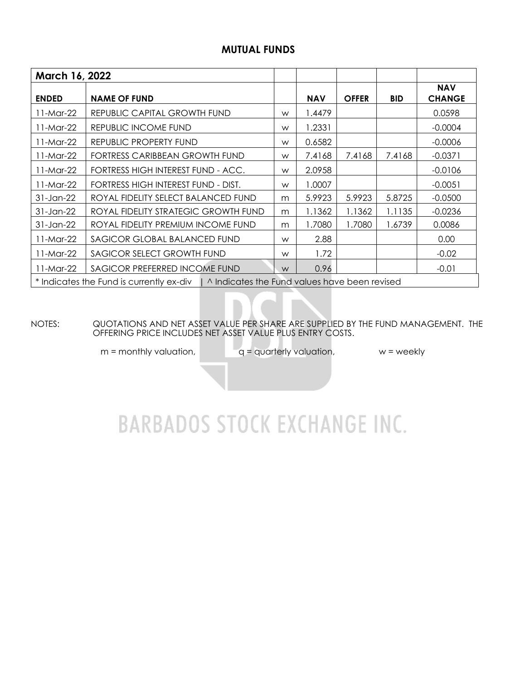# **MUTUAL FUNDS**

| March 16, 2022                                                                           |                                      |   |            |              |            |                             |  |  |  |  |
|------------------------------------------------------------------------------------------|--------------------------------------|---|------------|--------------|------------|-----------------------------|--|--|--|--|
| <b>ENDED</b>                                                                             | <b>NAME OF FUND</b>                  |   | <b>NAV</b> | <b>OFFER</b> | <b>BID</b> | <b>NAV</b><br><b>CHANGE</b> |  |  |  |  |
| 11-Mar-22                                                                                | REPUBLIC CAPITAL GROWTH FUND         | W | 1.4479     |              |            | 0.0598                      |  |  |  |  |
| 11-Mar-22                                                                                | REPUBLIC INCOME FUND                 | W | 1.2331     |              |            | $-0.0004$                   |  |  |  |  |
| 11-Mar-22                                                                                | REPUBLIC PROPERTY FUND               | W | 0.6582     |              |            | $-0.0006$                   |  |  |  |  |
| 11-Mar-22                                                                                | FORTRESS CARIBBEAN GROWTH FUND       | W | 7.4168     | 7.4168       | 7.4168     | $-0.0371$                   |  |  |  |  |
| 11-Mar-22                                                                                | FORTRESS HIGH INTEREST FUND - ACC.   | W | 2.0958     |              |            | $-0.0106$                   |  |  |  |  |
| 11-Mar-22                                                                                | FORTRESS HIGH INTEREST FUND - DIST.  | W | 1.0007     |              |            | $-0.0051$                   |  |  |  |  |
| 31-Jan-22                                                                                | ROYAL FIDELITY SELECT BALANCED FUND  | m | 5.9923     | 5.9923       | 5.8725     | $-0.0500$                   |  |  |  |  |
| 31-Jan-22                                                                                | ROYAL FIDELITY STRATEGIC GROWTH FUND | m | 1.1362     | 1.1362       | 1.1135     | $-0.0236$                   |  |  |  |  |
| 31-Jan-22                                                                                | ROYAL FIDELITY PREMIUM INCOME FUND   | m | 1.7080     | 1.7080       | 1.6739     | 0.0086                      |  |  |  |  |
| 11-Mar-22                                                                                | SAGICOR GLOBAL BALANCED FUND         |   | 2.88       |              |            | 0.00                        |  |  |  |  |
| 11-Mar-22                                                                                | SAGICOR SELECT GROWTH FUND           |   | 1.72       |              |            | $-0.02$                     |  |  |  |  |
| SAGICOR PREFERRED INCOME FUND<br>11-Mar-22                                               |                                      | W | 0.96       |              |            | $-0.01$                     |  |  |  |  |
| * Indicates the Fund is currently ex-div   ^ Indicates the Fund values have been revised |                                      |   |            |              |            |                             |  |  |  |  |

NOTES: QUOTATIONS AND NET ASSET VALUE PER SHARE ARE SUPPLIED BY THE FUND MANAGEMENT. THE OFFERING PRICE INCLUDES NET ASSET VALUE PLUS ENTRY COSTS.

 $m =$  monthly valuation,  $q =$  quarterly valuation,  $w =$  weekly

# **BARBADOS STOCK EXCHANGE INC.**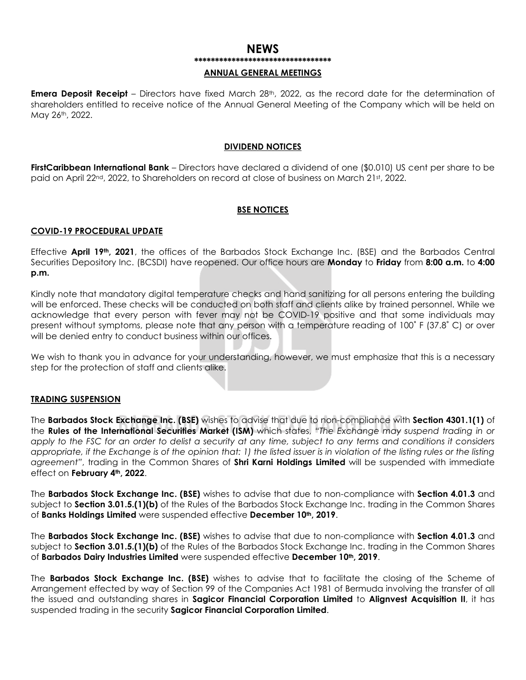# **NEWS \*\*\*\*\*\*\*\*\*\*\*\*\*\*\*\*\*\*\*\*\*\*\*\*\*\*\*\*\*\*\*\*\***

#### **ANNUAL GENERAL MEETINGS**

**Emera Deposit Receipt** – Directors have fixed March 28<sup>th</sup>, 2022, as the record date for the determination of shareholders entitled to receive notice of the Annual General Meeting of the Company which will be held on May 26th, 2022.

#### **DIVIDEND NOTICES**

**FirstCaribbean International Bank** – Directors have declared a dividend of one (\$0.010) US cent per share to be paid on April 22<sup>nd</sup>, 2022, to Shareholders on record at close of business on March 21st, 2022.

#### **BSE NOTICES**

#### **COVID-19 PROCEDURAL UPDATE**

Effective **April 19th, 2021**, the offices of the Barbados Stock Exchange Inc. (BSE) and the Barbados Central Securities Depository Inc. (BCSDI) have reopened. Our office hours are **Monday** to **Friday** from **8:00 a.m.** to **4:00 p.m.**

Kindly note that mandatory digital temperature checks and hand sanitizing for all persons entering the building will be enforced. These checks will be conducted on both staff and clients alike by trained personnel. While we acknowledge that every person with fever may not be COVID-19 positive and that some individuals may present without symptoms, please note that any person with a temperature reading of 100˚ F (37.8˚ C) or over will be denied entry to conduct business within our offices.

We wish to thank you in advance for your understanding, however, we must emphasize that this is a necessary step for the protection of staff and clients alike.

### **TRADING SUSPENSION**

The **Barbados Stock Exchange Inc. (BSE)** wishes to advise that due to non-compliance with **Section 4301.1(1)** of the **Rules of the International Securities Market (ISM)** which states, *"The Exchange may suspend trading in or apply to the FSC for an order to delist a security at any time, subject to any terms and conditions it considers appropriate, if the Exchange is of the opinion that: 1) the listed issuer is in violation of the listing rules or the listing agreement"*, trading in the Common Shares of **Shri Karni Holdings Limited** will be suspended with immediate effect on **February 4th, 2022**.

The **Barbados Stock Exchange Inc. (BSE)** wishes to advise that due to non-compliance with **Section 4.01.3** and subject to **Section 3.01.5.(1)(b)** of the Rules of the Barbados Stock Exchange Inc. trading in the Common Shares of **Banks Holdings Limited** were suspended effective **December 10th, 2019**.

The **Barbados Stock Exchange Inc. (BSE)** wishes to advise that due to non-compliance with **Section 4.01.3** and subject to **Section 3.01.5.(1)(b)** of the Rules of the Barbados Stock Exchange Inc. trading in the Common Shares of **Barbados Dairy Industries Limited** were suspended effective **December 10th, 2019**.

The **Barbados Stock Exchange Inc. (BSE)** wishes to advise that to facilitate the closing of the Scheme of Arrangement effected by way of Section 99 of the Companies Act 1981 of Bermuda involving the transfer of all the issued and outstanding shares in **Sagicor Financial Corporation Limited** to **Alignvest Acquisition II**, it has suspended trading in the security **Sagicor Financial Corporation Limited**.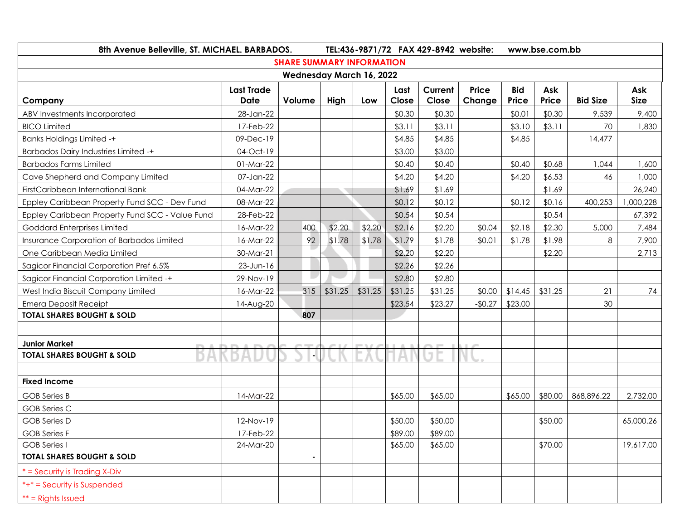| 8th Avenue Belleville, ST. MICHAEL. BARBADOS.   | TEL:436-9871/72 FAX 429-8942 website: |                |         |         |               |                  | www.bse.com.bb         |                     |              |                 |                    |
|-------------------------------------------------|---------------------------------------|----------------|---------|---------|---------------|------------------|------------------------|---------------------|--------------|-----------------|--------------------|
| <b>SHARE SUMMARY INFORMATION</b>                |                                       |                |         |         |               |                  |                        |                     |              |                 |                    |
| Wednesday March 16, 2022                        |                                       |                |         |         |               |                  |                        |                     |              |                 |                    |
| Company                                         | <b>Last Trade</b><br><b>Date</b>      | Volume         | High    | Low     | Last<br>Close | Current<br>Close | <b>Price</b><br>Change | <b>Bid</b><br>Price | Ask<br>Price | <b>Bid Size</b> | Ask<br><b>Size</b> |
| ABV Investments Incorporated                    | 28-Jan-22                             |                |         |         | \$0.30        | \$0.30           |                        | \$0.01              | \$0.30       | 9,539           | 9,400              |
| <b>BICO Limited</b>                             | 17-Feb-22                             |                |         |         | \$3.11        | \$3.11           |                        | \$3.10              | \$3.11       | 70              | 1,830              |
| <b>Banks Holdings Limited -+</b>                | 09-Dec-19                             |                |         |         | \$4.85        | \$4.85           |                        | \$4.85              |              | 14,477          |                    |
| <b>Barbados Dairy Industries Limited -+</b>     | 04-Oct-19                             |                |         |         | \$3.00        | \$3.00           |                        |                     |              |                 |                    |
| <b>Barbados Farms Limited</b>                   | 01-Mar-22                             |                |         |         | \$0.40        | \$0.40           |                        | \$0.40              | \$0.68       | 1,044           | 1,600              |
| Cave Shepherd and Company Limited               | 07-Jan-22                             |                |         |         | \$4.20        | \$4.20           |                        | \$4.20              | \$6.53       | 46              | 1,000              |
| FirstCaribbean International Bank               | 04-Mar-22                             |                | v.      |         | \$1.69        | \$1.69           |                        |                     | \$1.69       |                 | 26,240             |
| Eppley Caribbean Property Fund SCC - Dev Fund   | 08-Mar-22                             |                |         |         | \$0.12        | \$0.12           |                        | \$0.12              | \$0.16       | 400,253         | 000,228            |
| Eppley Caribbean Property Fund SCC - Value Fund | 28-Feb-22                             |                |         |         | \$0.54        | \$0.54           |                        |                     | \$0.54       |                 | 67,392             |
| Goddard Enterprises Limited                     | 16-Mar-22                             | 400            | \$2.20  | \$2.20  | \$2.16        | \$2.20           | \$0.04                 | \$2.18              | \$2.30       | 5,000           | 7,484              |
| Insurance Corporation of Barbados Limited       | 16-Mar-22                             | 92             | \$1.78  | \$1.78  | \$1.79        | \$1.78           | $-$0.01$               | \$1.78              | \$1.98       | 8               | 7,900              |
| One Caribbean Media Limited                     | 30-Mar-21                             |                |         |         | \$2.20        | \$2.20           |                        |                     | \$2.20       |                 | 2,713              |
| Sagicor Financial Corporation Pref 6.5%         | $23$ -Jun-16                          |                |         |         | \$2.26        | \$2.26           |                        |                     |              |                 |                    |
| Sagicor Financial Corporation Limited -+        | 29-Nov-19                             |                |         |         | \$2.80        | \$2.80           |                        |                     |              |                 |                    |
| West India Biscuit Company Limited              | 16-Mar-22                             | 315            | \$31.25 | \$31.25 | \$31.25       | \$31.25          | \$0.00                 | \$14.45             | \$31.25      | 21              | 74                 |
| <b>Emera Deposit Receipt</b>                    | 14-Aug-20                             |                |         |         | \$23.54       | \$23.27          | $-$0.27$               | \$23.00             |              | 30              |                    |
| <b>TOTAL SHARES BOUGHT &amp; SOLD</b>           |                                       | 807            |         |         |               |                  |                        |                     |              |                 |                    |
|                                                 |                                       |                |         |         |               |                  |                        |                     |              |                 |                    |
| <b>Junior Market</b>                            |                                       |                |         |         |               | $\sim$           |                        |                     |              |                 |                    |
| <b>TOTAL SHARES BOUGHT &amp; SOLD</b>           |                                       |                |         |         |               |                  |                        |                     |              |                 |                    |
|                                                 |                                       |                |         |         |               |                  |                        |                     |              |                 |                    |
| <b>Fixed Income</b>                             |                                       |                |         |         |               |                  |                        |                     |              |                 |                    |
| <b>GOB</b> Series B                             | 14-Mar-22                             |                |         |         | \$65.00       | \$65.00          |                        | \$65.00             | \$80.00      | 868,896.22      | 2,732.00           |
| <b>GOB Series C</b>                             |                                       |                |         |         |               |                  |                        |                     |              |                 |                    |
| <b>GOB</b> Series D                             | 12-Nov-19                             |                |         |         | \$50.00       | \$50.00          |                        |                     | \$50.00      |                 | 65,000.26          |
| <b>GOB Series F</b>                             | 17-Feb-22                             |                |         |         | \$89.00       | \$89.00          |                        |                     |              |                 |                    |
| <b>GOB</b> Series I                             | 24-Mar-20                             |                |         |         | \$65.00       | \$65.00          |                        |                     | \$70.00      |                 | 19,617.00          |
| <b>TOTAL SHARES BOUGHT &amp; SOLD</b>           |                                       | $\blacksquare$ |         |         |               |                  |                        |                     |              |                 |                    |
| * = Security is Trading X-Div                   |                                       |                |         |         |               |                  |                        |                     |              |                 |                    |
| $*+* =$ Security is Suspended                   |                                       |                |         |         |               |                  |                        |                     |              |                 |                    |
| $**$ = Rights Issued                            |                                       |                |         |         |               |                  |                        |                     |              |                 |                    |